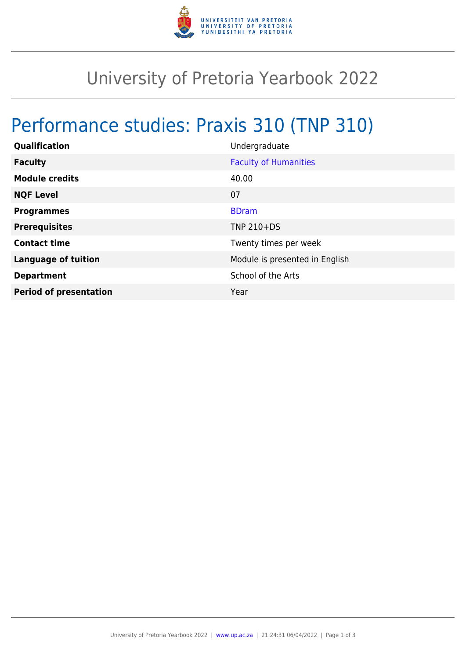

## University of Pretoria Yearbook 2022

## Performance studies: Praxis 310 (TNP 310)

| Qualification                 | Undergraduate                  |
|-------------------------------|--------------------------------|
| <b>Faculty</b>                | <b>Faculty of Humanities</b>   |
| <b>Module credits</b>         | 40.00                          |
| <b>NQF Level</b>              | 07                             |
| <b>Programmes</b>             | <b>BDram</b>                   |
| <b>Prerequisites</b>          | <b>TNP 210+DS</b>              |
| <b>Contact time</b>           | Twenty times per week          |
| <b>Language of tuition</b>    | Module is presented in English |
| <b>Department</b>             | School of the Arts             |
| <b>Period of presentation</b> | Year                           |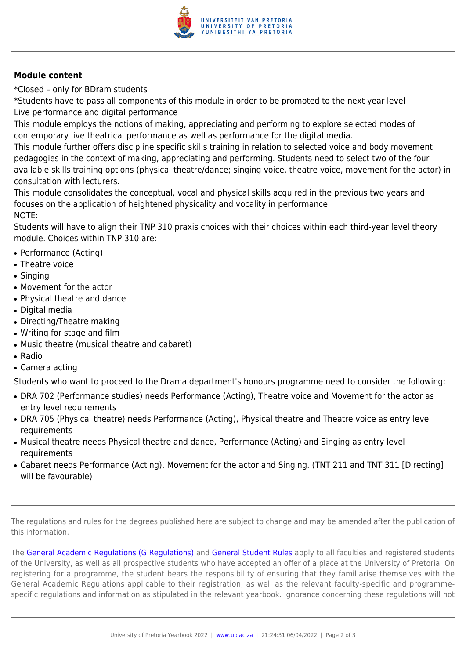

## **Module content**

\*Closed – only for BDram students

\*Students have to pass all components of this module in order to be promoted to the next year level Live performance and digital performance

This module employs the notions of making, appreciating and performing to explore selected modes of contemporary live theatrical performance as well as performance for the digital media.

This module further offers discipline specific skills training in relation to selected voice and body movement pedagogies in the context of making, appreciating and performing. Students need to select two of the four available skills training options (physical theatre/dance; singing voice, theatre voice, movement for the actor) in consultation with lecturers.

This module consolidates the conceptual, vocal and physical skills acquired in the previous two years and focuses on the application of heightened physicality and vocality in performance. NOTE:

Students will have to align their TNP 310 praxis choices with their choices within each third-year level theory module. Choices within TNP 310 are:

- Performance (Acting)
- Theatre voice
- Singing
- Movement for the actor
- Physical theatre and dance
- Digital media
- Directing/Theatre making
- Writing for stage and film
- Music theatre (musical theatre and cabaret)
- Radio
- Camera acting

Students who want to proceed to the Drama department's honours programme need to consider the following:

- DRA 702 (Performance studies) needs Performance (Acting), Theatre voice and Movement for the actor as entry level requirements
- DRA 705 (Physical theatre) needs Performance (Acting), Physical theatre and Theatre voice as entry level requirements
- Musical theatre needs Physical theatre and dance, Performance (Acting) and Singing as entry level requirements
- Cabaret needs Performance (Acting), Movement for the actor and Singing. (TNT 211 and TNT 311 [Directing] will be favourable)

The regulations and rules for the degrees published here are subject to change and may be amended after the publication of this information.

The [General Academic Regulations \(G Regulations\)](https://www.up.ac.za/faculty-of-education/yearbooks/2022/rules/view/REG) and [General Student Rules](https://www.up.ac.za/faculty-of-education/yearbooks/2022/rules/view/RUL) apply to all faculties and registered students of the University, as well as all prospective students who have accepted an offer of a place at the University of Pretoria. On registering for a programme, the student bears the responsibility of ensuring that they familiarise themselves with the General Academic Regulations applicable to their registration, as well as the relevant faculty-specific and programmespecific regulations and information as stipulated in the relevant yearbook. Ignorance concerning these regulations will not